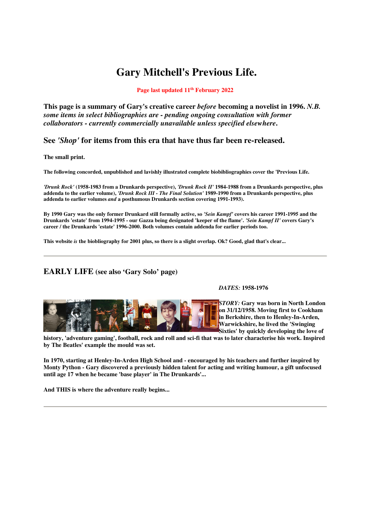# **Gary Mitchell's Previous Life.**

#### **Page last updated 11th February 2022**

**This page is a summary of Gary's creative career** *before* **becoming a novelist in 1996.** *N.B. some items in select bibliographies are - pending ongoing consultation with former collaborators - currently commercially unavailable unless specified elsewhere***.** 

## **See** *'Shop'* **for items from this era that have thus far been re-released.**

**The small print.** 

**The following concorded, unpublished and lavishly illustrated complete biobibliographies cover the 'Previous Life.** 

*'Drunk Rock'* **(1958-1983 from a Drunkards perspective),** *'Drunk Rock II'* **1984-1988 from a Drunkards perspective, plus addenda to the earlier volume),** *'Drunk Rock III - The Final Solution'* **1989-1990 from a Drunkards perspective, plus addenda to earlier volumes** *and* **a posthumous Drunkards section covering 1991-1993).** 

**By 1990 Gary was the only former Drunkard still formally active, so** *'Sein Kampf'* **covers his career 1991-1995 and the Drunkards 'estate' from 1994-1995 - our Gazza being designated 'keeper of the flame'.** *'Sein Kampf II'* **covers Gary's career / the Drunkards 'estate' 1996-2000. Both volumes contain addenda for earlier periods too.** 

**This website** *is* **the biobliography for 2001 plus, so there is a slight overlap. Ok? Good, glad that's clear...** 

## **EARLY LIFE (see also 'Gary Solo' page)**

*DATES:* **1958-1976** 

*STORY:* **Gary was born in North London on 31/12/1958. Moving first to Cookham in Berkshire, then to Henley-In-Arden, Warwickshire, he lived the 'Swinging Sixties' by quickly developing the love of** 

**history, 'adventure gaming', football, rock and roll and sci-fi that was to later characterise his work. Inspired by The Beatles' example the mould was set.** 

**In 1970, starting at Henley-In-Arden High School and - encouraged by his teachers and further inspired by Monty Python - Gary discovered a previously hidden talent for acting and writing humour, a gift unfocused until age 17 when he became 'base player' in The Drunkards'...** 

**And THIS is where the adventure really begins...**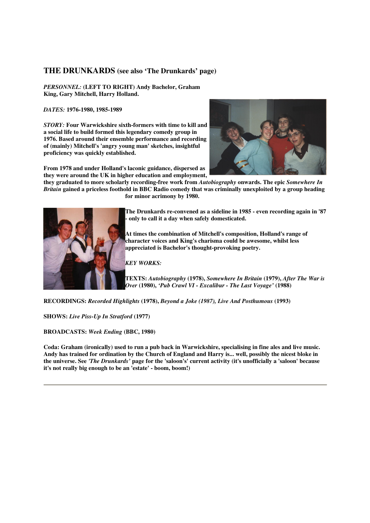#### **THE DRUNKARDS (see also 'The Drunkards' page)**

*PERSONNEL:* **(LEFT TO RIGHT) Andy Bachelor, Graham King, Gary Mitchell, Harry Holland.** 

*DATES:* **1976-1980, 1985-1989** 

*STORY:* **Four Warwickshire sixth-formers with time to kill and a social life to build formed this legendary comedy group in 1976. Based around their ensemble performance and recording of (mainly) Mitchell's 'angry young man' sketches, insightful proficiency was quickly established.** 



**they graduated to more scholarly recording-free work from** *Autobiography* **onwards. The epic** *Somewhere In Britain* **gained a priceless foothold in BBC Radio comedy that was criminally unexploited by a group heading for minor acrimony by 1980.** 



**The Drunkards re-convened as a sideline in 1985 - even recording again in '87 - only to call it a day when safely domesticated.** 

**At times the combination of Mitchell's composition, Holland's range of character voices and King's charisma could be awesome, whilst less appreciated is Bachelor's thought-provoking poetry.** 

*KEY WORKS:* 

**TEXTS:** *Autobiography* **(1978),** *Somewhere In Britain* **(1979),** *After The War is Over* **(1980),** *'Pub Crawl VI - Excalibur - The Last Voyage'* **(1988)** 

**RECORDINGS:** *Recorded Highlights* **(1978),** *Beyond a Joke (1987), Live And Posthumous* **(1993)** 

**SHOWS:** *Live Piss-Up In Stratford* **(1977)** 

**BROADCASTS:** *Week Ending* **(BBC, 1980)** 

**Coda: Graham (ironically) used to run a pub back in Warwickshire, specialising in fine ales and live music. Andy has trained for ordination by the Church of England and Harry is... well, possibly the nicest bloke in the universe. See** *'The Drunkards'* **page for the 'saloon's' current activity (it's unofficially a 'saloon' because it's not really big enough to be an 'estate' - boom, boom!)**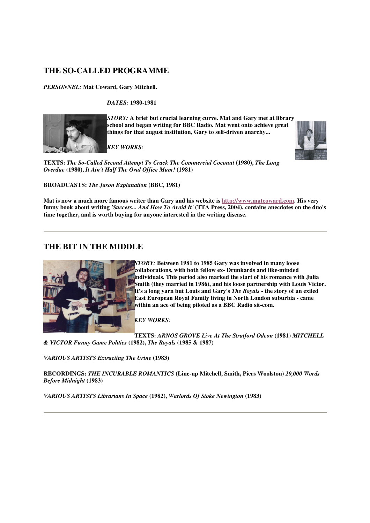# **THE SO-CALLED PROGRAMME**

*PERSONNEL:* **Mat Coward, Gary Mitchell.** 

*DATES:* **1980-1981** 



*STORY:* **A brief but crucial learning curve. Mat and Gary met at library school and began writing for BBC Radio. Mat went onto achieve great things for that august institution, Gary to self-driven anarchy...** 

*KEY WORKS:* 



**TEXTS:** *The So-Called Second Attempt To Crack The Commercial Coconut* **(1980),** *The Long Overdue* **(1980),** *It Ain't Half The Oval Office Mum!* **(1981)** 

**BROADCASTS:** *The Jason Explanation* **(BBC, 1981)** 

**Mat is now a much more famous writer than Gary and his website is http://www.matcoward.com. His very funny book about writing** *'Success... And How To Avoid It'* **(TTA Press, 2004), contains anecdotes on the duo's time together, and is worth buying for anyone interested in the writing disease.** 

## **THE BIT IN THE MIDDLE**



*STORY:* **Between 1981 to 1985 Gary was involved in many loose collaborations, with both fellow ex- Drunkards and like-minded individuals. This period also marked the start of his romance with Julia Smith (they married in 1986), and his loose partnership with Louis Victor. It's a long yarn but Louis and Gary's** *The Royals* **- the story of an exiled East European Royal Family living in North London suburbia - came within an ace of being piloted as a BBC Radio sit-com.** 

*KEY WORKS:* 

**TEXTS:** *ARNOS GROVE Live At The Stratford Odeon* **(1981)** *MITCHELL & VICTOR Funny Game Politics* **(1982),** *The Royals* **(1985 & 1987)** 

*VARIOUS ARTISTS Extracting The Urine* **(1983)** 

**RECORDINGS:** *THE INCURABLE ROMANTICS* **(Line-up Mitchell, Smith, Piers Woolston)** *20,000 Words Before Midnight* **(1983)** 

*VARIOUS ARTISTS Librarians In Space* **(1982),** *Warlords Of Stoke Newington* **(1983)**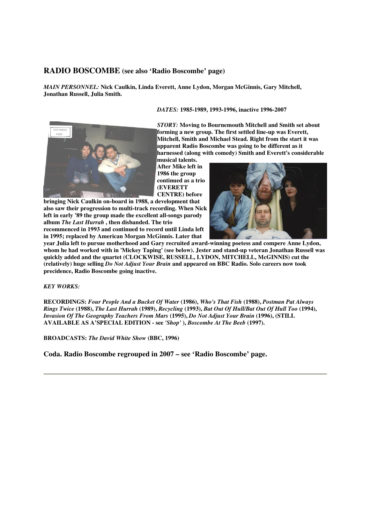#### **RADIO BOSCOMBE (see also 'Radio Boscombe' page)**

*MAIN PERSONNEL:* **Nick Caulkin, Linda Everett, Anne Lydon, Morgan McGinnis, Gary Mitchell, Jonathan Russell, Julia Smith.** 

#### *DATES:* **1985-1989, 1993-1996, inactive 1996-2007**



*STORY:* **Moving to Bournemouth Mitchell and Smith set about forming a new group. The first settled line-up was Everett, Mitchell, Smith and Michael Stead. Right from the start it was apparent Radio Boscombe was going to be different as it harnessed (along with comedy) Smith and Everett's considerable** 

**musical talents. After Mike left in 1986 the group continued as a trio (EVERETT CENTRE) before** 

**bringing Nick Caulkin on-board in 1988, a development that also saw their progression to multi-track recording. When Nick left in early '89 the group made the excellent all-songs parody album** *The Last Hurrah* **, then disbanded. The trio recommenced in 1993 and continued to record until Linda left** 

**in 1995; replaced by American Morgan McGinnis. Later that** 



**year Julia left to pursue motherhood and Gary recruited award-winning poetess and compere Anne Lydon, whom he had worked with in 'Mickey Taping' (see below). Jester and stand-up veteran Jonathan Russell was quickly added and the quartet (CLOCKWISE, RUSSELL, LYDON, MITCHELL, McGINNIS) cut the (relatively) huge selling** *Do Not Adjust Your Brain* **and appeared on BBC Radio. Solo careers now took precidence, Radio Boscombe going inactive.** 

*KEY WORKS:* 

**RECORDINGS:** *Four People And a Bucket Of Water* **(1986),** *Who's That Fish* **(1988),** *Postman Pat Always Rings Twice* **(1988),** *The Last Hurrah* **(1989),** *Recycling* **(1993),** *Bat Out Of Hull/Bat Out Of Hull Too* **(1994),**  *Invasion Of The Geography Teachers From Mars* **(1995),** *Do Not Adjust Your Brain* **(1996), (STILL AVAILABLE AS A'SPECIAL EDITION - see** *'Shop'* **),** *Boscombe At The Beeb* **(1997).** 

**BROADCASTS:** *The David White Show* **(BBC, 1996)** 

**Coda. Radio Boscombe regrouped in 2007 – see 'Radio Boscombe' page.**